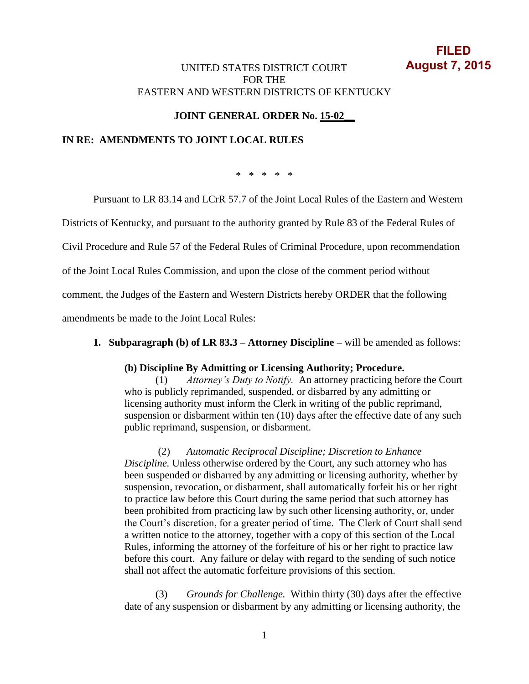# **FILED August 7, 2015**

## UNITED STATES DISTRICT COURT FOR THE EASTERN AND WESTERN DISTRICTS OF KENTUCKY

# **JOINT GENERAL ORDER No. 15-02\_\_**

### **IN RE: AMENDMENTS TO JOINT LOCAL RULES**

\* \* \* \* \*

Pursuant to LR 83.14 and LCrR 57.7 of the Joint Local Rules of the Eastern and Western

Districts of Kentucky, and pursuant to the authority granted by Rule 83 of the Federal Rules of

Civil Procedure and Rule 57 of the Federal Rules of Criminal Procedure, upon recommendation

of the Joint Local Rules Commission, and upon the close of the comment period without

comment, the Judges of the Eastern and Western Districts hereby ORDER that the following

amendments be made to the Joint Local Rules:

#### **1. Subparagraph (b) of LR 83.3 – Attorney Discipline –** will be amended as follows:

#### **(b) Discipline By Admitting or Licensing Authority; Procedure.**

(1) *Attorney's Duty to Notify.*An attorney practicing before the Court who is publicly reprimanded, suspended, or disbarred by any admitting or licensing authority must inform the Clerk in writing of the public reprimand, suspension or disbarment within ten (10) days after the effective date of any such public reprimand, suspension, or disbarment.

(2) *Automatic Reciprocal Discipline; Discretion to Enhance Discipline.* Unless otherwise ordered by the Court, any such attorney who has been suspended or disbarred by any admitting or licensing authority, whether by suspension, revocation, or disbarment, shall automatically forfeit his or her right to practice law before this Court during the same period that such attorney has been prohibited from practicing law by such other licensing authority, or, under the Court's discretion, for a greater period of time. The Clerk of Court shall send a written notice to the attorney, together with a copy of this section of the Local Rules, informing the attorney of the forfeiture of his or her right to practice law before this court. Any failure or delay with regard to the sending of such notice shall not affect the automatic forfeiture provisions of this section.

(3) *Grounds for Challenge.*Within thirty (30) days after the effective date of any suspension or disbarment by any admitting or licensing authority, the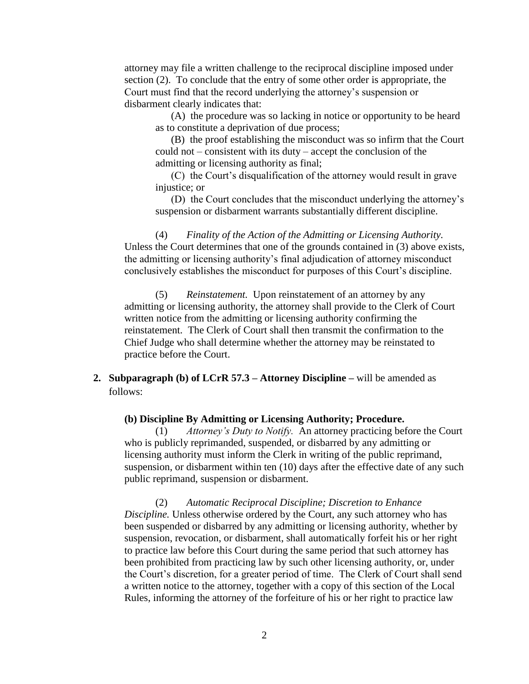attorney may file a written challenge to the reciprocal discipline imposed under section (2). To conclude that the entry of some other order is appropriate, the Court must find that the record underlying the attorney's suspension or disbarment clearly indicates that:

(A) the procedure was so lacking in notice or opportunity to be heard as to constitute a deprivation of due process;

(B) the proof establishing the misconduct was so infirm that the Court could not – consistent with its duty – accept the conclusion of the admitting or licensing authority as final;

(C) the Court's disqualification of the attorney would result in grave injustice: or

(D) the Court concludes that the misconduct underlying the attorney's suspension or disbarment warrants substantially different discipline.

(4) *Finality of the Action of the Admitting or Licensing Authority.* Unless the Court determines that one of the grounds contained in (3) above exists, the admitting or licensing authority's final adjudication of attorney misconduct conclusively establishes the misconduct for purposes of this Court's discipline.

(5) *Reinstatement.*Upon reinstatement of an attorney by any admitting or licensing authority, the attorney shall provide to the Clerk of Court written notice from the admitting or licensing authority confirming the reinstatement. The Clerk of Court shall then transmit the confirmation to the Chief Judge who shall determine whether the attorney may be reinstated to practice before the Court.

**2. Subparagraph (b) of LCrR 57.3 – Attorney Discipline –** will be amended as follows:

#### **(b) Discipline By Admitting or Licensing Authority; Procedure.**

(1) *Attorney's Duty to Notify.*An attorney practicing before the Court who is publicly reprimanded, suspended, or disbarred by any admitting or licensing authority must inform the Clerk in writing of the public reprimand, suspension, or disbarment within ten (10) days after the effective date of any such public reprimand, suspension or disbarment.

(2) *Automatic Reciprocal Discipline; Discretion to Enhance Discipline.* Unless otherwise ordered by the Court, any such attorney who has been suspended or disbarred by any admitting or licensing authority, whether by suspension, revocation, or disbarment, shall automatically forfeit his or her right to practice law before this Court during the same period that such attorney has been prohibited from practicing law by such other licensing authority, or, under the Court's discretion, for a greater period of time. The Clerk of Court shall send a written notice to the attorney, together with a copy of this section of the Local Rules, informing the attorney of the forfeiture of his or her right to practice law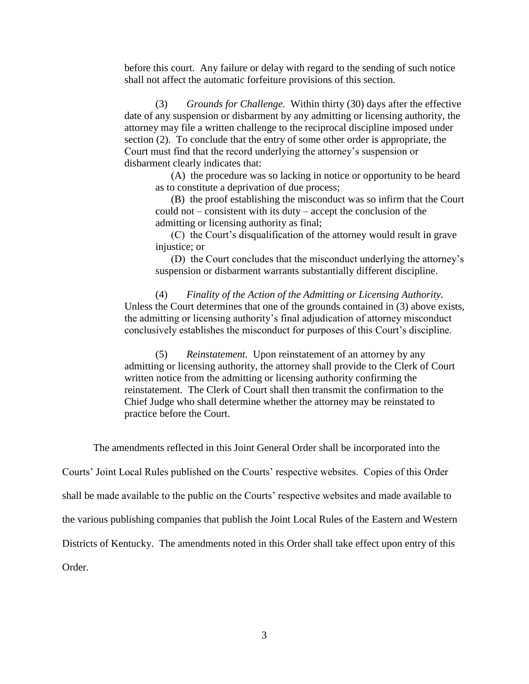before this court. Any failure or delay with regard to the sending of such notice shall not affect the automatic forfeiture provisions of this section.

(3) *Grounds for Challenge.*Within thirty (30) days after the effective date of any suspension or disbarment by any admitting or licensing authority, the attorney may file a written challenge to the reciprocal discipline imposed under section (2). To conclude that the entry of some other order is appropriate, the Court must find that the record underlying the attorney's suspension or disbarment clearly indicates that:

(A) the procedure was so lacking in notice or opportunity to be heard as to constitute a deprivation of due process;

(B) the proof establishing the misconduct was so infirm that the Court could not – consistent with its duty – accept the conclusion of the admitting or licensing authority as final;

(C) the Court's disqualification of the attorney would result in grave injustice; or

(D) the Court concludes that the misconduct underlying the attorney's suspension or disbarment warrants substantially different discipline.

(4) *Finality of the Action of the Admitting or Licensing Authority.* Unless the Court determines that one of the grounds contained in (3) above exists, the admitting or licensing authority's final adjudication of attorney misconduct conclusively establishes the misconduct for purposes of this Court's discipline.

(5) *Reinstatement.*Upon reinstatement of an attorney by any admitting or licensing authority, the attorney shall provide to the Clerk of Court written notice from the admitting or licensing authority confirming the reinstatement. The Clerk of Court shall then transmit the confirmation to the Chief Judge who shall determine whether the attorney may be reinstated to practice before the Court.

The amendments reflected in this Joint General Order shall be incorporated into the

Courts' Joint Local Rules published on the Courts' respective websites. Copies of this Order

shall be made available to the public on the Courts' respective websites and made available to

the various publishing companies that publish the Joint Local Rules of the Eastern and Western

Districts of Kentucky. The amendments noted in this Order shall take effect upon entry of this

Order.